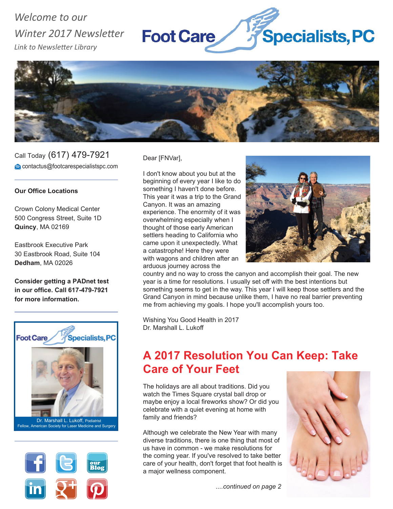# *Welcome to our Winter 2017 Newsletter Link to Newsletter Library*





Call Today (617) 479-7921 contactus@footcarespecialistspc.com

#### **Our Office Locations**

Crown Colony Medical Center 500 Congress Street, Suite 1D **Quincy**, MA 02169

Eastbrook Executive Park 30 Eastbrook Road, Suite 104 **Dedham**, MA 02026

**Consider getting a PADnet test in our office. Call 617-479-7921 for more information.**





Dear [FNVar],

I don't know about you but at the beginning of every year I like to do something I haven't done before. This year it was a trip to the Grand Canyon. It was an amazing experience. The enormity of it was overwhelming especially when I thought of those early American settlers heading to California who came upon it unexpectedly. What a catastrophe! Here they were with wagons and children after an arduous journey across the



country and no way to cross the canyon and accomplish their goal. The new year is a time for resolutions. I usually set off with the best intentions but something seems to get in the way. This year I will keep those settlers and the Grand Canyon in mind because unlike them, I have no real barrier preventing me from achieving my goals. I hope you'll accomplish yours too.

Wishing You Good Health in 2017 Dr. Marshall L. Lukoff

# **A 2017 Resolution You Can Keep: Take Care of Your Feet**

The holidays are all about traditions. Did you watch the Times Square crystal ball drop or maybe enjoy a local fireworks show? Or did you celebrate with a quiet evening at home with family and friends?

Although we celebrate the New Year with many diverse traditions, there is one thing that most of us have in common - we make resolutions for the coming year. If you've resolved to take better care of your health, don't forget that foot health is a major wellness component.



*....continued on page 2*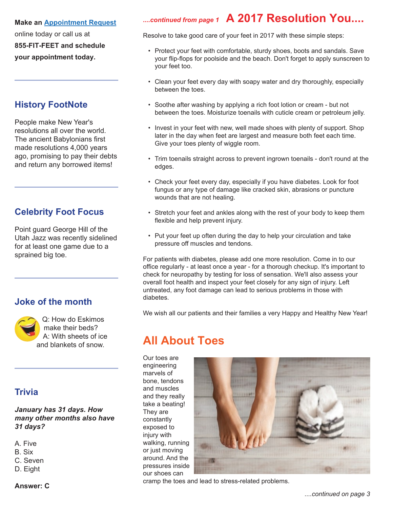#### **Make an Appointment Request**

online today or call us at **855-FIT-FEET and schedule your appointment today.**

## **History FootNote**

People make New Year's resolutions all over the world. The ancient Babylonians first made resolutions 4,000 years ago, promising to pay their debts and return any borrowed items!

## **Celebrity Foot Focus**

Point guard George Hill of the Utah Jazz was recently sidelined for at least one game due to a sprained big toe.

## **Joke of the month**



Q: How do Eskimos make their beds? A: With sheets of ice and blankets of snow.

### **Trivia**

*January has 31 days. How many other months also have 31 days?*

- A. Five
- B. Six
- C. Seven
- D. Eight

#### **Answer: C**

# *....continued from page 1* **A 2017 Resolution You....**

Resolve to take good care of your feet in 2017 with these simple steps:

- Protect your feet with comfortable, sturdy shoes, boots and sandals. Save your flip-flops for poolside and the beach. Don't forget to apply sunscreen to your feet too.
- Clean your feet every day with soapy water and dry thoroughly, especially between the toes.
- Soothe after washing by applying a rich foot lotion or cream but not between the toes. Moisturize toenails with cuticle cream or petroleum jelly.
- Invest in your feet with new, well made shoes with plenty of support. Shop later in the day when feet are largest and measure both feet each time. Give your toes plenty of wiggle room.
- Trim toenails straight across to prevent ingrown toenails don't round at the edges.
- Check your feet every day, especially if you have diabetes. Look for foot fungus or any type of damage like cracked skin, abrasions or puncture wounds that are not healing.
- Stretch your feet and ankles along with the rest of your body to keep them flexible and help prevent injury.
- Put your feet up often during the day to help your circulation and take pressure off muscles and tendons.

For patients with diabetes, please add one more resolution. Come in to our office regularly - at least once a year - for a thorough checkup. It's important to check for neuropathy by testing for loss of sensation. We'll also assess your overall foot health and inspect your feet closely for any sign of injury. Left untreated, any foot damage can lead to serious problems in those with diabetes.

We wish all our patients and their families a very Happy and Healthy New Year!

# **All About Toes**

Our toes are engineering marvels of bone, tendons and muscles and they really take a beating! They are constantly exposed to injury with walking, running or just moving around. And the pressures inside our shoes can



cramp the toes and lead to stress-related problems.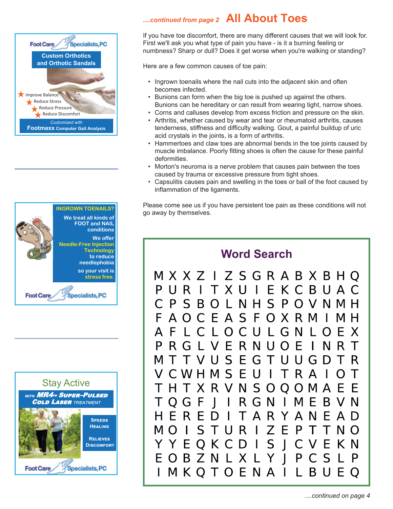





## *....continued from page 2* **All About Toes**

If you have toe discomfort, there are many different causes that we will look for. First we'll ask you what type of pain you have - is it a burning feeling or numbness? Sharp or dull? Does it get worse when you're walking or standing?

Here are a few common causes of toe pain:

- Ingrown toenails where the nail cuts into the adjacent skin and often becomes infected.
- Bunions can form when the big toe is pushed up against the others. Bunions can be hereditary or can result from wearing tight, narrow shoes.
- Corns and calluses develop from excess friction and pressure on the skin.
- Arthritis, whether caused by wear and tear or rheumatoid arthritis, causes tenderness, stiffness and difficulty walking. Gout, a painful buildup of uric acid crystals in the joints, is a form of arthritis.
- Hammertoes and claw toes are abnormal bends in the toe joints caused by muscle imbalance. Poorly fitting shoes is often the cause for these painful deformities.
- Morton's neuroma is a nerve problem that causes pain between the toes caused by trauma or excessive pressure from tight shoes.
- Capsulitis causes pain and swelling in the toes or ball of the foot caused by inflammation of the ligaments.

Please come see us if you have persistent toe pain as these conditions will not go away by themselves.

## **Word Search**